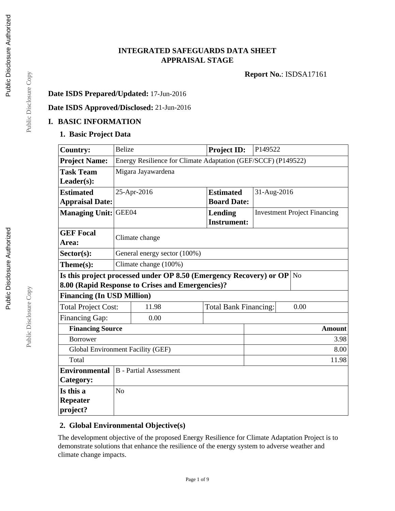## **INTEGRATED SAFEGUARDS DATA SHEET APPRAISAL STAGE**

**Report No.**: ISDSA17161

## **Date ISDS Prepared/Updated:** 17-Jun-2016

## **Date ISDS Approved/Disclosed:** 21-Jun-2016

#### **I. BASIC INFORMATION**

#### **1. Basic Project Data**

| <b>Country:</b>                                  | <b>Belize</b>                                                 |                                                                    | Project ID:                  | P149522                             |                |  |
|--------------------------------------------------|---------------------------------------------------------------|--------------------------------------------------------------------|------------------------------|-------------------------------------|----------------|--|
| <b>Project Name:</b>                             | Energy Resilience for Climate Adaptation (GEF/SCCF) (P149522) |                                                                    |                              |                                     |                |  |
| <b>Task Team</b>                                 | Migara Jayawardena                                            |                                                                    |                              |                                     |                |  |
| $Leader(s)$ :                                    |                                                               |                                                                    |                              |                                     |                |  |
| <b>Estimated</b>                                 | 25-Apr-2016<br><b>Estimated</b><br>31-Aug-2016                |                                                                    |                              |                                     |                |  |
| <b>Appraisal Date:</b>                           |                                                               | <b>Board Date:</b>                                                 |                              |                                     |                |  |
| <b>Managing Unit:</b>                            | GEE04                                                         |                                                                    | <b>Lending</b>               | <b>Investment Project Financing</b> |                |  |
|                                                  |                                                               |                                                                    | <b>Instrument:</b>           |                                     |                |  |
| <b>GEF Focal</b>                                 |                                                               |                                                                    |                              |                                     |                |  |
| Area:                                            |                                                               | Climate change                                                     |                              |                                     |                |  |
| Sector(s):                                       |                                                               | General energy sector (100%)                                       |                              |                                     |                |  |
| Theme(s):                                        |                                                               | Climate change (100%)                                              |                              |                                     |                |  |
|                                                  |                                                               | Is this project processed under OP 8.50 (Emergency Recovery) or OP |                              |                                     | N <sub>o</sub> |  |
|                                                  |                                                               | 8.00 (Rapid Response to Crises and Emergencies)?                   |                              |                                     |                |  |
| <b>Financing (In USD Million)</b>                |                                                               |                                                                    |                              |                                     |                |  |
| <b>Total Project Cost:</b>                       |                                                               | 11.98                                                              | <b>Total Bank Financing:</b> |                                     | 0.00           |  |
| Financing Gap:                                   | 0.00                                                          |                                                                    |                              |                                     |                |  |
| <b>Financing Source</b>                          |                                                               |                                                                    |                              |                                     | <b>Amount</b>  |  |
| <b>Borrower</b><br>3.98                          |                                                               |                                                                    |                              |                                     |                |  |
| <b>Global Environment Facility (GEF)</b><br>8.00 |                                                               |                                                                    |                              |                                     |                |  |
| 11.98<br>Total                                   |                                                               |                                                                    |                              |                                     |                |  |
| <b>Environmental</b>                             | <b>B</b> - Partial Assessment                                 |                                                                    |                              |                                     |                |  |
| Category:                                        |                                                               |                                                                    |                              |                                     |                |  |
| Is this a                                        | N <sub>o</sub>                                                |                                                                    |                              |                                     |                |  |
| <b>Repeater</b>                                  |                                                               |                                                                    |                              |                                     |                |  |
| project?                                         |                                                               |                                                                    |                              |                                     |                |  |

#### **2. Global Environmental Objective(s)**

The development objective of the proposed Energy Resilience for Climate Adaptation Project is to demonstrate solutions that enhance the resilience of the energy system to adverse weather and climate change impacts.

Public Disclosure Copy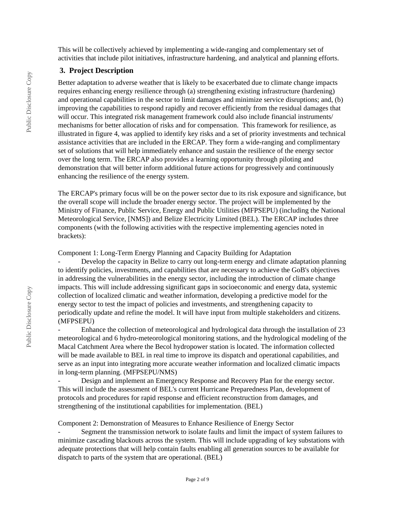This will be collectively achieved by implementing a wide-ranging and complementary set of activities that include pilot initiatives, infrastructure hardening, and analytical and planning efforts.

#### **3. Project Description**

Better adaptation to adverse weather that is likely to be exacerbated due to climate change impacts requires enhancing energy resilience through (a) strengthening existing infrastructure (hardening) and operational capabilities in the sector to limit damages and minimize service disruptions; and, (b) improving the capabilities to respond rapidly and recover efficiently from the residual damages that will occur. This integrated risk management framework could also include financial instruments/ mechanisms for better allocation of risks and for compensation. This framework for resilience, as illustrated in figure 4, was applied to identify key risks and a set of priority investments and technical assistance activities that are included in the ERCAP. They form a wide-ranging and complimentary set of solutions that will help immediately enhance and sustain the resilience of the energy sector over the long term. The ERCAP also provides a learning opportunity through piloting and demonstration that will better inform additional future actions for progressively and continuously enhancing the resilience of the energy system.

The ERCAP's primary focus will be on the power sector due to its risk exposure and significance, but the overall scope will include the broader energy sector. The project will be implemented by the Ministry of Finance, Public Service, Energy and Public Utilities (MFPSEPU) (including the National Meteorological Service, [NMS]) and Belize Electricity Limited (BEL). The ERCAP includes three components (with the following activities with the respective implementing agencies noted in brackets):

Component 1: Long-Term Energy Planning and Capacity Building for Adaptation

Develop the capacity in Belize to carry out long-term energy and climate adaptation planning to identify policies, investments, and capabilities that are necessary to achieve the GoB's objectives in addressing the vulnerabilities in the energy sector, including the introduction of climate change impacts. This will include addressing significant gaps in socioeconomic and energy data, systemic collection of localized climatic and weather information, developing a predictive model for the energy sector to test the impact of policies and investments, and strengthening capacity to periodically update and refine the model. It will have input from multiple stakeholders and citizens. (MFPSEPU)

- Enhance the collection of meteorological and hydrological data through the installation of 23 meteorological and 6 hydro-meteorological monitoring stations, and the hydrological modeling of the Macal Catchment Area where the Becol hydropower station is located. The information collected will be made available to BEL in real time to improve its dispatch and operational capabilities, and serve as an input into integrating more accurate weather information and localized climatic impacts in long-term planning. (MFPSEPU/NMS)

Design and implement an Emergency Response and Recovery Plan for the energy sector. This will include the assessment of BEL's current Hurricane Preparedness Plan, development of protocols and procedures for rapid response and efficient reconstruction from damages, and strengthening of the institutional capabilities for implementation. (BEL)

Component 2: Demonstration of Measures to Enhance Resilience of Energy Sector

Segment the transmission network to isolate faults and limit the impact of system failures to minimize cascading blackouts across the system. This will include upgrading of key substations with adequate protections that will help contain faults enabling all generation sources to be available for dispatch to parts of the system that are operational. (BEL)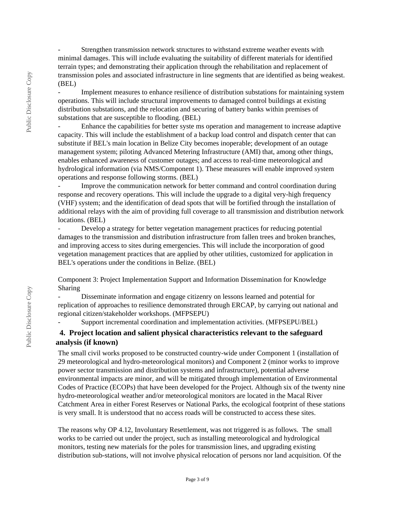Strengthen transmission network structures to withstand extreme weather events with minimal damages. This will include evaluating the suitability of different materials for identified terrain types; and demonstrating their application through the rehabilitation and replacement of transmission poles and associated infrastructure in line segments that are identified as being weakest. (BEL)

- Implement measures to enhance resilience of distribution substations for maintaining system operations. This will include structural improvements to damaged control buildings at existing distribution substations, and the relocation and securing of battery banks within premises of substations that are susceptible to flooding. (BEL)

- Enhance the capabilities for better syste ms operation and management to increase adaptive capacity. This will include the establishment of a backup load control and dispatch center that can substitute if BEL's main location in Belize City becomes inoperable; development of an outage management system; piloting Advanced Metering Infrastructure (AMI) that, among other things, enables enhanced awareness of customer outages; and access to real-time meteorological and hydrological information (via NMS/Component 1). These measures will enable improved system operations and response following storms. (BEL)

- Improve the communication network for better command and control coordination during response and recovery operations. This will include the upgrade to a digital very-high frequency (VHF) system; and the identification of dead spots that will be fortified through the installation of additional relays with the aim of providing full coverage to all transmission and distribution network locations. (BEL)

- Develop a strategy for better vegetation management practices for reducing potential damages to the transmission and distribution infrastructure from fallen trees and broken branches, and improving access to sites during emergencies. This will include the incorporation of good vegetation management practices that are applied by other utilities, customized for application in BEL's operations under the conditions in Belize. (BEL)

Component 3: Project Implementation Support and Information Dissemination for Knowledge Sharing

- Disseminate information and engage citizenry on lessons learned and potential for replication of approaches to resilience demonstrated through ERCAP, by carrying out national and regional citizen/stakeholder workshops. (MFPSEPU)

Support incremental coordination and implementation activities. (MFPSEPU/BEL)

## **4. Project location and salient physical characteristics relevant to the safeguard analysis (if known)**

The small civil works proposed to be constructed country-wide under Component 1 (installation of 29 meteorological and hydro-meteorological monitors) and Component 2 (minor works to improve power sector transmission and distribution systems and infrastructure), potential adverse environmental impacts are minor, and will be mitigated through implementation of Environmental Codes of Practice (ECOPs) that have been developed for the Project. Although six of the twenty nine hydro-meteorological weather and/or meteorological monitors are located in the Macal River Catchment Area in either Forest Reserves or National Parks, the ecological footprint of these stations is very small. It is understood that no access roads will be constructed to access these sites.

The reasons why OP 4.12, Involuntary Resettlement, was not triggered is as follows. The small works to be carried out under the project, such as installing meteorological and hydrological monitors, testing new materials for the poles for transmission lines, and upgrading existing distribution sub-stations, will not involve physical relocation of persons nor land acquisition. Of the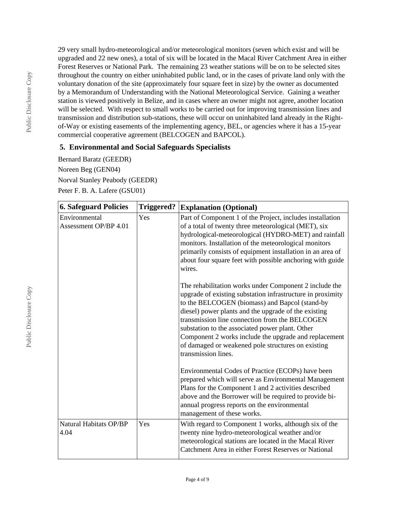29 very small hydro-meteorological and/or meteorological monitors (seven which exist and will be upgraded and 22 new ones), a total of six will be located in the Macal River Catchment Area in either Forest Reserves or National Park. The remaining 23 weather stations will be on to be selected sites throughout the country on either uninhabited public land, or in the cases of private land only with the voluntary donation of the site (approximately four square feet in size) by the owner as documented by a Memorandum of Understanding with the National Meteorological Service. Gaining a weather station is viewed positively in Belize, and in cases where an owner might not agree, another location will be selected. With respect to small works to be carried out for improving transmission lines and transmission and distribution sub-stations, these will occur on uninhabited land already in the Rightof-Way or existing easements of the implementing agency, BEL, or agencies where it has a 15-year commercial cooperative agreement (BELCOGEN and BAPCOL).

## **5. Environmental and Social Safeguards Specialists**

Bernard Baratz (GEEDR) Noreen Beg (GEN04) Norval Stanley Peabody (GEEDR) Peter F. B. A. Lafere (GSU01)

| <b>6. Safeguard Policies</b>           | <b>Triggered?</b><br><b>Explanation (Optional)</b> |                                                                                                                                                                                                                                                                                                                                                                                                                                                                           |
|----------------------------------------|----------------------------------------------------|---------------------------------------------------------------------------------------------------------------------------------------------------------------------------------------------------------------------------------------------------------------------------------------------------------------------------------------------------------------------------------------------------------------------------------------------------------------------------|
| Environmental<br>Assessment OP/BP 4.01 | Yes                                                | Part of Component 1 of the Project, includes installation<br>of a total of twenty three meteorological (MET), six<br>hydrological-meteorological (HYDRO-MET) and rainfall<br>monitors. Installation of the meteorological monitors<br>primarily consists of equipment installation in an area of<br>about four square feet with possible anchoring with guide<br>wires.                                                                                                   |
|                                        |                                                    | The rehabilitation works under Component 2 include the<br>upgrade of existing substation infrastructure in proximity<br>to the BELCOGEN (biomass) and Bapcol (stand-by<br>diesel) power plants and the upgrade of the existing<br>transmission line connection from the BELCOGEN<br>substation to the associated power plant. Other<br>Component 2 works include the upgrade and replacement<br>of damaged or weakened pole structures on existing<br>transmission lines. |
|                                        |                                                    | Environmental Codes of Practice (ECOPs) have been<br>prepared which will serve as Environmental Management<br>Plans for the Component 1 and 2 activities described<br>above and the Borrower will be required to provide bi-<br>annual progress reports on the environmental<br>management of these works.                                                                                                                                                                |
| Natural Habitats OP/BP<br>4.04         | Yes                                                | With regard to Component 1 works, although six of the<br>twenty nine hydro-meteorological weather and/or<br>meteorological stations are located in the Macal River<br>Catchment Area in either Forest Reserves or National                                                                                                                                                                                                                                                |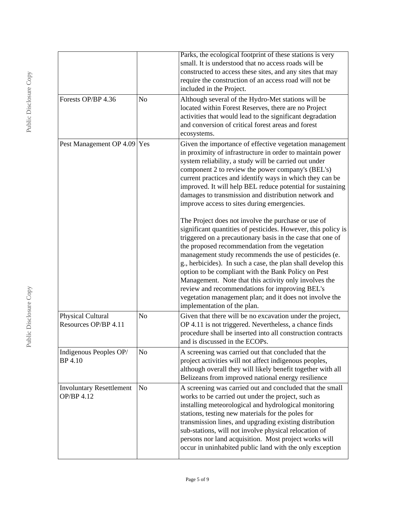|                                               |                | Parks, the ecological footprint of these stations is very<br>small. It is understood that no access roads will be<br>constructed to access these sites, and any sites that may<br>require the construction of an access road will not be<br>included in the Project.                                                                                                                                                                                                                                                                                                                                                       |
|-----------------------------------------------|----------------|----------------------------------------------------------------------------------------------------------------------------------------------------------------------------------------------------------------------------------------------------------------------------------------------------------------------------------------------------------------------------------------------------------------------------------------------------------------------------------------------------------------------------------------------------------------------------------------------------------------------------|
| Forests OP/BP 4.36                            | N <sub>o</sub> | Although several of the Hydro-Met stations will be<br>located within Forest Reserves, there are no Project<br>activities that would lead to the significant degradation<br>and conversion of critical forest areas and forest<br>ecosystems.                                                                                                                                                                                                                                                                                                                                                                               |
| Pest Management OP 4.09 Yes                   |                | Given the importance of effective vegetation management<br>in proximity of infrastructure in order to maintain power<br>system reliability, a study will be carried out under<br>component 2 to review the power company's (BEL's)<br>current practices and identify ways in which they can be<br>improved. It will help BEL reduce potential for sustaining<br>damages to transmission and distribution network and<br>improve access to sites during emergencies.                                                                                                                                                        |
|                                               |                | The Project does not involve the purchase or use of<br>significant quantities of pesticides. However, this policy is<br>triggered on a precautionary basis in the case that one of<br>the proposed recommendation from the vegetation<br>management study recommends the use of pesticides (e.<br>g., herbicides). In such a case, the plan shall develop this<br>option to be compliant with the Bank Policy on Pest<br>Management. Note that this activity only involves the<br>review and recommendations for improving BEL's<br>vegetation management plan; and it does not involve the<br>implementation of the plan. |
| Physical Cultural<br>Resources OP/BP 4.11     | No             | Given that there will be no excavation under the project,<br>OP 4.11 is not triggered. Nevertheless, a chance finds<br>procedure shall be inserted into all construction contracts<br>and is discussed in the ECOPs.                                                                                                                                                                                                                                                                                                                                                                                                       |
| Indigenous Peoples OP/<br><b>BP</b> 4.10      | N <sub>o</sub> | A screening was carried out that concluded that the<br>project activities will not affect indigenous peoples,<br>although overall they will likely benefit together with all<br>Belizeans from improved national energy resilience                                                                                                                                                                                                                                                                                                                                                                                         |
| <b>Involuntary Resettlement</b><br>OP/BP 4.12 | N <sub>o</sub> | A screening was carried out and concluded that the small<br>works to be carried out under the project, such as<br>installing meteorological and hydrological monitoring<br>stations, testing new materials for the poles for<br>transmission lines, and upgrading existing distribution<br>sub-stations, will not involve physical relocation of<br>persons nor land acquisition. Most project works will<br>occur in uninhabited public land with the only exception                                                                                                                                                      |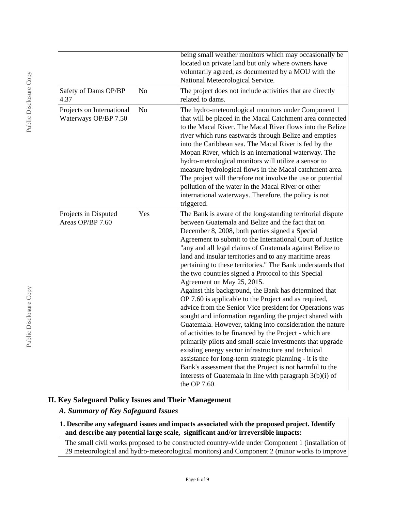|                                                   |                | being small weather monitors which may occasionally be<br>located on private land but only where owners have<br>voluntarily agreed, as documented by a MOU with the<br>National Meteorological Service.                                                                                                                                                                                                                                                                                                                                                                                                                                                                                                                                                                                                                                                                                                                                                                                                                                                                                                                                                                                           |
|---------------------------------------------------|----------------|---------------------------------------------------------------------------------------------------------------------------------------------------------------------------------------------------------------------------------------------------------------------------------------------------------------------------------------------------------------------------------------------------------------------------------------------------------------------------------------------------------------------------------------------------------------------------------------------------------------------------------------------------------------------------------------------------------------------------------------------------------------------------------------------------------------------------------------------------------------------------------------------------------------------------------------------------------------------------------------------------------------------------------------------------------------------------------------------------------------------------------------------------------------------------------------------------|
| Safety of Dams OP/BP<br>4.37                      | No             | The project does not include activities that are directly<br>related to dams.                                                                                                                                                                                                                                                                                                                                                                                                                                                                                                                                                                                                                                                                                                                                                                                                                                                                                                                                                                                                                                                                                                                     |
| Projects on International<br>Waterways OP/BP 7.50 | N <sub>o</sub> | The hydro-meteorological monitors under Component 1<br>that will be placed in the Macal Catchment area connected<br>to the Macal River. The Macal River flows into the Belize<br>river which runs eastwards through Belize and empties<br>into the Caribbean sea. The Macal River is fed by the<br>Mopan River, which is an international waterway. The<br>hydro-metrological monitors will utilize a sensor to<br>measure hydrological flows in the Macal catchment area.<br>The project will therefore not involve the use or potential<br>pollution of the water in the Macal River or other<br>international waterways. Therefore, the policy is not<br>triggered.                                                                                                                                                                                                                                                                                                                                                                                                                                                                                                                            |
| Projects in Disputed<br>Areas OP/BP 7.60          | Yes            | The Bank is aware of the long-standing territorial dispute<br>between Guatemala and Belize and the fact that on<br>December 8, 2008, both parties signed a Special<br>Agreement to submit to the International Court of Justice<br>"any and all legal claims of Guatemala against Belize to<br>land and insular territories and to any maritime areas<br>pertaining to these territories." The Bank understands that<br>the two countries signed a Protocol to this Special<br>Agreement on May 25, 2015.<br>Against this background, the Bank has determined that<br>OP 7.60 is applicable to the Project and as required,<br>advice from the Senior Vice president for Operations was<br>sought and information regarding the project shared with<br>Guatemala. However, taking into consideration the nature<br>of activities to be financed by the Project - which are<br>primarily pilots and small-scale investments that upgrade<br>existing energy sector infrastructure and technical<br>assistance for long-term strategic planning - it is the<br>Bank's assessment that the Project is not harmful to the<br>interests of Guatemala in line with paragraph 3(b)(i) of<br>the OP 7.60. |

## **II. Key Safeguard Policy Issues and Their Management**

## *A. Summary of Key Safeguard Issues*

**1. Describe any safeguard issues and impacts associated with the proposed project. Identify and describe any potential large scale, significant and/or irreversible impacts:**

The small civil works proposed to be constructed country-wide under Component 1 (installation of 29 meteorological and hydro-meteorological monitors) and Component 2 (minor works to improve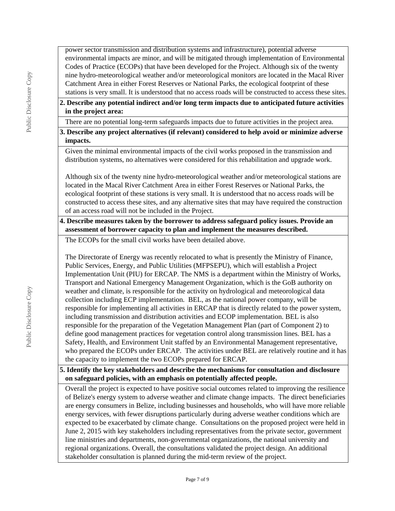power sector transmission and distribution systems and infrastructure), potential adverse environmental impacts are minor, and will be mitigated through implementation of Environmental Codes of Practice (ECOPs) that have been developed for the Project. Although six of the twenty nine hydro-meteorological weather and/or meteorological monitors are located in the Macal River Catchment Area in either Forest Reserves or National Parks, the ecological footprint of these stations is very small. It is understood that no access roads will be constructed to access these sites.

## **2. Describe any potential indirect and/or long term impacts due to anticipated future activities in the project area:**

There are no potential long-term safeguards impacts due to future activities in the project area.

## **3. Describe any project alternatives (if relevant) considered to help avoid or minimize adverse impacts.**

Given the minimal environmental impacts of the civil works proposed in the transmission and distribution systems, no alternatives were considered for this rehabilitation and upgrade work.

Although six of the twenty nine hydro-meteorological weather and/or meteorological stations are located in the Macal River Catchment Area in either Forest Reserves or National Parks, the ecological footprint of these stations is very small. It is understood that no access roads will be constructed to access these sites, and any alternative sites that may have required the construction of an access road will not be included in the Project.

#### **4. Describe measures taken by the borrower to address safeguard policy issues. Provide an assessment of borrower capacity to plan and implement the measures described.**

The ECOPs for the small civil works have been detailed above.

The Directorate of Energy was recently relocated to what is presently the Ministry of Finance, Public Services, Energy, and Public Utilities (MFPSEPU), which will establish a Project Implementation Unit (PIU) for ERCAP. The NMS is a department within the Ministry of Works, Transport and National Emergency Management Organization, which is the GoB authority on weather and climate, is responsible for the activity on hydrological and meteorological data collection including ECP implementation. BEL, as the national power company, will be responsible for implementing all activities in ERCAP that is directly related to the power system, including transmission and distribution activities and ECOP implementation. BEL is also responsible for the preparation of the Vegetation Management Plan (part of Component 2) to define good management practices for vegetation control along transmission lines. BEL has a Safety, Health, and Environment Unit staffed by an Environmental Management representative, who prepared the ECOPs under ERCAP. The activities under BEL are relatively routine and it has the capacity to implement the two ECOPs prepared for ERCAP.

## **5. Identify the key stakeholders and describe the mechanisms for consultation and disclosure on safeguard policies, with an emphasis on potentially affected people.**

Overall the project is expected to have positive social outcomes related to improving the resilience of Belize's energy system to adverse weather and climate change impacts. The direct beneficiaries are energy consumers in Belize, including businesses and households, who will have more reliable energy services, with fewer disruptions particularly during adverse weather conditions which are expected to be exacerbated by climate change. Consultations on the proposed project were held in June 2, 2015 with key stakeholders including representatives from the private sector, government line ministries and departments, non-governmental organizations, the national university and regional organizations. Overall, the consultations validated the project design. An additional stakeholder consultation is planned during the mid-term review of the project.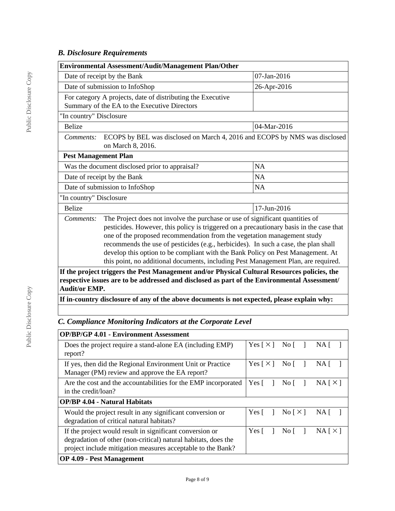## *B. Disclosure Requirements*

| <b>Environmental Assessment/Audit/Management Plan/Other</b>                                                                                                                                                                                                                                                                                                                                                                                                                                                                      |                                                                                                                                                                                              |             |  |  |  |
|----------------------------------------------------------------------------------------------------------------------------------------------------------------------------------------------------------------------------------------------------------------------------------------------------------------------------------------------------------------------------------------------------------------------------------------------------------------------------------------------------------------------------------|----------------------------------------------------------------------------------------------------------------------------------------------------------------------------------------------|-------------|--|--|--|
|                                                                                                                                                                                                                                                                                                                                                                                                                                                                                                                                  | Date of receipt by the Bank                                                                                                                                                                  | 07-Jan-2016 |  |  |  |
|                                                                                                                                                                                                                                                                                                                                                                                                                                                                                                                                  | Date of submission to InfoShop                                                                                                                                                               | 26-Apr-2016 |  |  |  |
|                                                                                                                                                                                                                                                                                                                                                                                                                                                                                                                                  | For category A projects, date of distributing the Executive<br>Summary of the EA to the Executive Directors                                                                                  |             |  |  |  |
| "In country" Disclosure                                                                                                                                                                                                                                                                                                                                                                                                                                                                                                          |                                                                                                                                                                                              |             |  |  |  |
| <b>Belize</b>                                                                                                                                                                                                                                                                                                                                                                                                                                                                                                                    |                                                                                                                                                                                              | 04-Mar-2016 |  |  |  |
| Comments:                                                                                                                                                                                                                                                                                                                                                                                                                                                                                                                        | ECOPS by BEL was disclosed on March 4, 2016 and ECOPS by NMS was disclosed<br>on March 8, 2016.                                                                                              |             |  |  |  |
| <b>Pest Management Plan</b>                                                                                                                                                                                                                                                                                                                                                                                                                                                                                                      |                                                                                                                                                                                              |             |  |  |  |
| Was the document disclosed prior to appraisal?<br><b>NA</b>                                                                                                                                                                                                                                                                                                                                                                                                                                                                      |                                                                                                                                                                                              |             |  |  |  |
|                                                                                                                                                                                                                                                                                                                                                                                                                                                                                                                                  | Date of receipt by the Bank                                                                                                                                                                  | <b>NA</b>   |  |  |  |
|                                                                                                                                                                                                                                                                                                                                                                                                                                                                                                                                  | Date of submission to InfoShop                                                                                                                                                               | <b>NA</b>   |  |  |  |
| "In country" Disclosure                                                                                                                                                                                                                                                                                                                                                                                                                                                                                                          |                                                                                                                                                                                              |             |  |  |  |
| 17-Jun-2016<br><b>Belize</b>                                                                                                                                                                                                                                                                                                                                                                                                                                                                                                     |                                                                                                                                                                                              |             |  |  |  |
| The Project does not involve the purchase or use of significant quantities of<br>Comments:<br>pesticides. However, this policy is triggered on a precautionary basis in the case that<br>one of the proposed recommendation from the vegetation management study<br>recommends the use of pesticides (e.g., herbicides). In such a case, the plan shall<br>develop this option to be compliant with the Bank Policy on Pest Management. At<br>this point, no additional documents, including Pest Management Plan, are required. |                                                                                                                                                                                              |             |  |  |  |
|                                                                                                                                                                                                                                                                                                                                                                                                                                                                                                                                  | If the project triggers the Pest Management and/or Physical Cultural Resources policies, the<br>respective issues are to be addressed and disclosed as part of the Environmental Assessment/ |             |  |  |  |

**respective issues are to be addressed and disclosed as part of the Environmental Assessment/ Audit/or EMP.**

**If in-country disclosure of any of the above documents is not expected, please explain why:**

## *C. Compliance Monitoring Indicators at the Corporate Level*

| <b>OP/BP/GP 4.01 - Environment Assessment</b>                                                                                                                                             |                            |                                  |          |
|-------------------------------------------------------------------------------------------------------------------------------------------------------------------------------------------|----------------------------|----------------------------------|----------|
| Does the project require a stand-alone EA (including EMP)<br>report?                                                                                                                      | Yes $\lceil \times \rceil$ | No $\lceil$                      | NA.      |
| If yes, then did the Regional Environment Unit or Practice<br>Manager (PM) review and approve the EA report?                                                                              | Yes $\lceil \times \rceil$ | No I                             | NA.      |
| Are the cost and the accountabilities for the EMP incorporated<br>in the credit/loan?                                                                                                     | Yes $\lceil$               | No I                             | NA [ X ] |
| <b>OP/BP 4.04 - Natural Habitats</b>                                                                                                                                                      |                            |                                  |          |
| Would the project result in any significant conversion or<br>degradation of critical natural habitats?                                                                                    | Yes $\lceil$               | $\text{No} \lceil \times \rceil$ | NA.      |
| If the project would result in significant conversion or<br>degradation of other (non-critical) natural habitats, does the<br>project include mitigation measures acceptable to the Bank? | Yes $\lceil$               | No L                             | NA[X]    |
| <b>OP 4.09 - Pest Management</b>                                                                                                                                                          |                            |                                  |          |